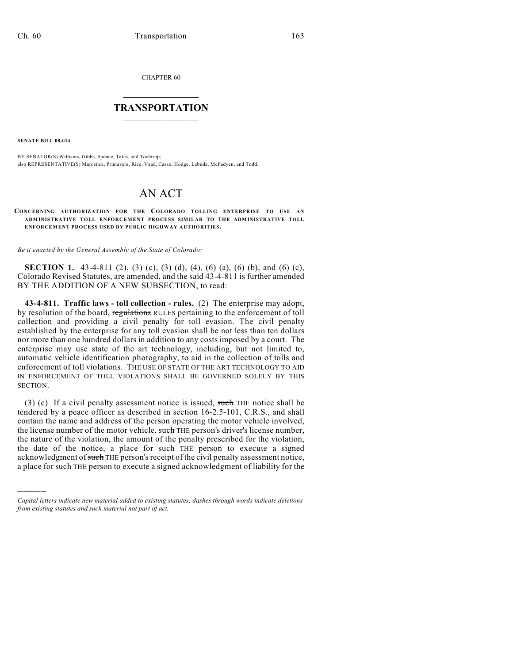CHAPTER 60

## $\overline{\phantom{a}}$  . The set of the set of the set of the set of the set of the set of the set of the set of the set of the set of the set of the set of the set of the set of the set of the set of the set of the set of the set o **TRANSPORTATION**  $\_$   $\_$   $\_$   $\_$   $\_$   $\_$   $\_$   $\_$   $\_$

**SENATE BILL 08-014**

)))))

BY SENATOR(S) Williams, Gibbs, Spence, Takis, and Tochtrop; also REPRESENTATIVE(S) Marostica, Primavera, Rice, Vaad, Casso, Hodge, Labuda, McFadyen, and Todd.

# AN ACT

### **CONCERNING AUTHORIZATION FOR THE COLORADO TOLLING ENTERPRISE TO USE AN ADMINISTRATIVE TOLL ENFORCEMENT PROCESS SIMILAR TO THE ADMINISTRATIVE TOLL ENFORCEMENT PROCESS USED BY PUBLIC HIGHWAY AUTHORITIES.**

*Be it enacted by the General Assembly of the State of Colorado:*

**SECTION 1.** 43-4-811 (2), (3) (c), (3) (d), (4), (6) (a), (6) (b), and (6) (c), Colorado Revised Statutes, are amended, and the said 43-4-811 is further amended BY THE ADDITION OF A NEW SUBSECTION, to read:

**43-4-811. Traffic laws - toll collection - rules.** (2) The enterprise may adopt, by resolution of the board, regulations RULES pertaining to the enforcement of toll collection and providing a civil penalty for toll evasion. The civil penalty established by the enterprise for any toll evasion shall be not less than ten dollars nor more than one hundred dollars in addition to any costs imposed by a court. The enterprise may use state of the art technology, including, but not limited to, automatic vehicle identification photography, to aid in the collection of tolls and enforcement of toll violations. THE USE OF STATE OF THE ART TECHNOLOGY TO AID IN ENFORCEMENT OF TOLL VIOLATIONS SHALL BE GOVERNED SOLELY BY THIS SECTION.

(3) (c) If a civil penalty assessment notice is issued, such THE notice shall be tendered by a peace officer as described in section 16-2.5-101, C.R.S., and shall contain the name and address of the person operating the motor vehicle involved, the license number of the motor vehicle, such THE person's driver's license number, the nature of the violation, the amount of the penalty prescribed for the violation, the date of the notice, a place for such THE person to execute a signed acknowledgment of such THE person's receipt of the civil penalty assessment notice, a place for such THE person to execute a signed acknowledgment of liability for the

*Capital letters indicate new material added to existing statutes; dashes through words indicate deletions from existing statutes and such material not part of act.*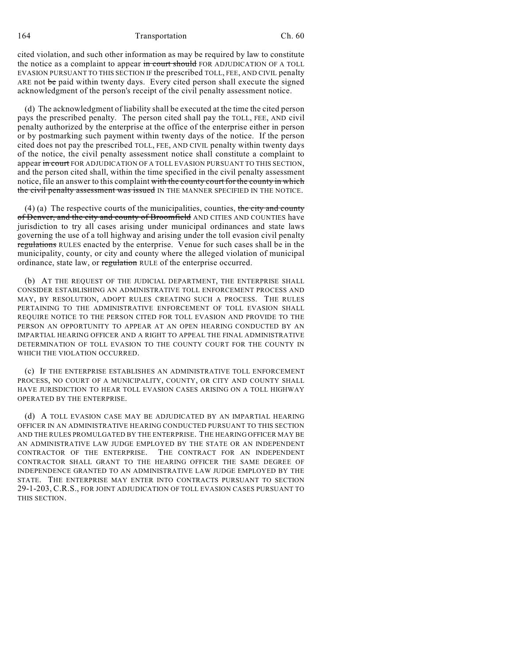164 Transportation Ch. 60

cited violation, and such other information as may be required by law to constitute the notice as a complaint to appear in court should FOR ADJUDICATION OF A TOLL EVASION PURSUANT TO THIS SECTION IF the prescribed TOLL, FEE, AND CIVIL penalty ARE not be paid within twenty days. Every cited person shall execute the signed acknowledgment of the person's receipt of the civil penalty assessment notice.

(d) The acknowledgment of liability shall be executed at the time the cited person pays the prescribed penalty. The person cited shall pay the TOLL, FEE, AND civil penalty authorized by the enterprise at the office of the enterprise either in person or by postmarking such payment within twenty days of the notice. If the person cited does not pay the prescribed TOLL, FEE, AND CIVIL penalty within twenty days of the notice, the civil penalty assessment notice shall constitute a complaint to appear in court FOR ADJUDICATION OF A TOLL EVASION PURSUANT TO THIS SECTION, and the person cited shall, within the time specified in the civil penalty assessment notice, file an answer to this complaint with the county court for the county in which the civil penalty assessment was issued IN THE MANNER SPECIFIED IN THE NOTICE.

(4) (a) The respective courts of the municipalities, counties, the city and county of Denver, and the city and county of Broomfield AND CITIES AND COUNTIES have jurisdiction to try all cases arising under municipal ordinances and state laws governing the use of a toll highway and arising under the toll evasion civil penalty regulations RULES enacted by the enterprise. Venue for such cases shall be in the municipality, county, or city and county where the alleged violation of municipal ordinance, state law, or regulation RULE of the enterprise occurred.

(b) AT THE REQUEST OF THE JUDICIAL DEPARTMENT, THE ENTERPRISE SHALL CONSIDER ESTABLISHING AN ADMINISTRATIVE TOLL ENFORCEMENT PROCESS AND MAY, BY RESOLUTION, ADOPT RULES CREATING SUCH A PROCESS. THE RULES PERTAINING TO THE ADMINISTRATIVE ENFORCEMENT OF TOLL EVASION SHALL REQUIRE NOTICE TO THE PERSON CITED FOR TOLL EVASION AND PROVIDE TO THE PERSON AN OPPORTUNITY TO APPEAR AT AN OPEN HEARING CONDUCTED BY AN IMPARTIAL HEARING OFFICER AND A RIGHT TO APPEAL THE FINAL ADMINISTRATIVE DETERMINATION OF TOLL EVASION TO THE COUNTY COURT FOR THE COUNTY IN WHICH THE VIOLATION OCCURRED.

(c) IF THE ENTERPRISE ESTABLISHES AN ADMINISTRATIVE TOLL ENFORCEMENT PROCESS, NO COURT OF A MUNICIPALITY, COUNTY, OR CITY AND COUNTY SHALL HAVE JURISDICTION TO HEAR TOLL EVASION CASES ARISING ON A TOLL HIGHWAY OPERATED BY THE ENTERPRISE.

(d) A TOLL EVASION CASE MAY BE ADJUDICATED BY AN IMPARTIAL HEARING OFFICER IN AN ADMINISTRATIVE HEARING CONDUCTED PURSUANT TO THIS SECTION AND THE RULES PROMULGATED BY THE ENTERPRISE. THE HEARING OFFICER MAY BE AN ADMINISTRATIVE LAW JUDGE EMPLOYED BY THE STATE OR AN INDEPENDENT CONTRACTOR OF THE ENTERPRISE. THE CONTRACT FOR AN INDEPENDENT CONTRACTOR SHALL GRANT TO THE HEARING OFFICER THE SAME DEGREE OF INDEPENDENCE GRANTED TO AN ADMINISTRATIVE LAW JUDGE EMPLOYED BY THE STATE. THE ENTERPRISE MAY ENTER INTO CONTRACTS PURSUANT TO SECTION 29-1-203, C.R.S., FOR JOINT ADJUDICATION OF TOLL EVASION CASES PURSUANT TO THIS SECTION.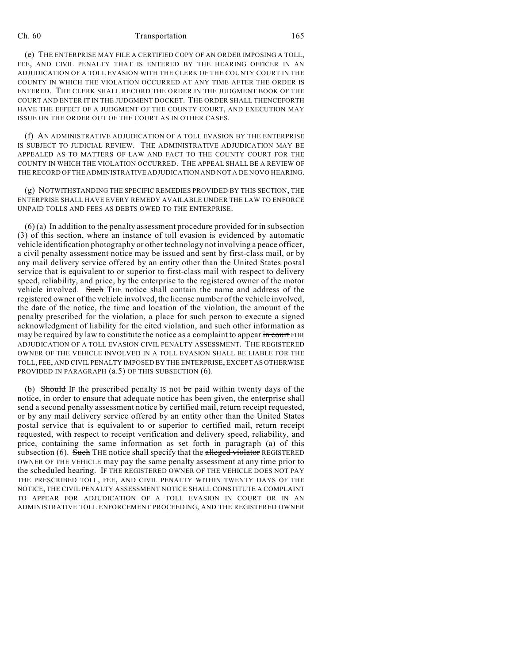## Ch. 60 Transportation 165

(e) THE ENTERPRISE MAY FILE A CERTIFIED COPY OF AN ORDER IMPOSING A TOLL, FEE, AND CIVIL PENALTY THAT IS ENTERED BY THE HEARING OFFICER IN AN ADJUDICATION OF A TOLL EVASION WITH THE CLERK OF THE COUNTY COURT IN THE COUNTY IN WHICH THE VIOLATION OCCURRED AT ANY TIME AFTER THE ORDER IS ENTERED. THE CLERK SHALL RECORD THE ORDER IN THE JUDGMENT BOOK OF THE COURT AND ENTER IT IN THE JUDGMENT DOCKET. THE ORDER SHALL THENCEFORTH HAVE THE EFFECT OF A JUDGMENT OF THE COUNTY COURT, AND EXECUTION MAY ISSUE ON THE ORDER OUT OF THE COURT AS IN OTHER CASES.

(f) AN ADMINISTRATIVE ADJUDICATION OF A TOLL EVASION BY THE ENTERPRISE IS SUBJECT TO JUDICIAL REVIEW. THE ADMINISTRATIVE ADJUDICATION MAY BE APPEALED AS TO MATTERS OF LAW AND FACT TO THE COUNTY COURT FOR THE COUNTY IN WHICH THE VIOLATION OCCURRED. THE APPEAL SHALL BE A REVIEW OF THE RECORD OFTHE ADMINISTRATIVE ADJUDICATION AND NOT A DE NOVO HEARING.

(g) NOTWITHSTANDING THE SPECIFIC REMEDIES PROVIDED BY THIS SECTION, THE ENTERPRISE SHALL HAVE EVERY REMEDY AVAILABLE UNDER THE LAW TO ENFORCE UNPAID TOLLS AND FEES AS DEBTS OWED TO THE ENTERPRISE.

(6) (a) In addition to the penalty assessment procedure provided for in subsection (3) of this section, where an instance of toll evasion is evidenced by automatic vehicle identification photography or other technology not involving a peace officer, a civil penalty assessment notice may be issued and sent by first-class mail, or by any mail delivery service offered by an entity other than the United States postal service that is equivalent to or superior to first-class mail with respect to delivery speed, reliability, and price, by the enterprise to the registered owner of the motor vehicle involved. Such THE notice shall contain the name and address of the registered owner of the vehicle involved, the license number of the vehicle involved, the date of the notice, the time and location of the violation, the amount of the penalty prescribed for the violation, a place for such person to execute a signed acknowledgment of liability for the cited violation, and such other information as may be required by law to constitute the notice as a complaint to appear in court FOR ADJUDICATION OF A TOLL EVASION CIVIL PENALTY ASSESSMENT. THE REGISTERED OWNER OF THE VEHICLE INVOLVED IN A TOLL EVASION SHALL BE LIABLE FOR THE TOLL, FEE, AND CIVIL PENALTY IMPOSED BY THE ENTERPRISE, EXCEPT AS OTHERWISE PROVIDED IN PARAGRAPH  $(a.5)$  OF THIS SUBSECTION  $(6)$ .

(b) Should IF the prescribed penalty IS not be paid within twenty days of the notice, in order to ensure that adequate notice has been given, the enterprise shall send a second penalty assessment notice by certified mail, return receipt requested, or by any mail delivery service offered by an entity other than the United States postal service that is equivalent to or superior to certified mail, return receipt requested, with respect to receipt verification and delivery speed, reliability, and price, containing the same information as set forth in paragraph (a) of this subsection  $(6)$ . Such THE notice shall specify that the alleged violator REGISTERED OWNER OF THE VEHICLE may pay the same penalty assessment at any time prior to the scheduled hearing. IF THE REGISTERED OWNER OF THE VEHICLE DOES NOT PAY THE PRESCRIBED TOLL, FEE, AND CIVIL PENALTY WITHIN TWENTY DAYS OF THE NOTICE, THE CIVIL PENALTY ASSESSMENT NOTICE SHALL CONSTITUTE A COMPLAINT TO APPEAR FOR ADJUDICATION OF A TOLL EVASION IN COURT OR IN AN ADMINISTRATIVE TOLL ENFORCEMENT PROCEEDING, AND THE REGISTERED OWNER